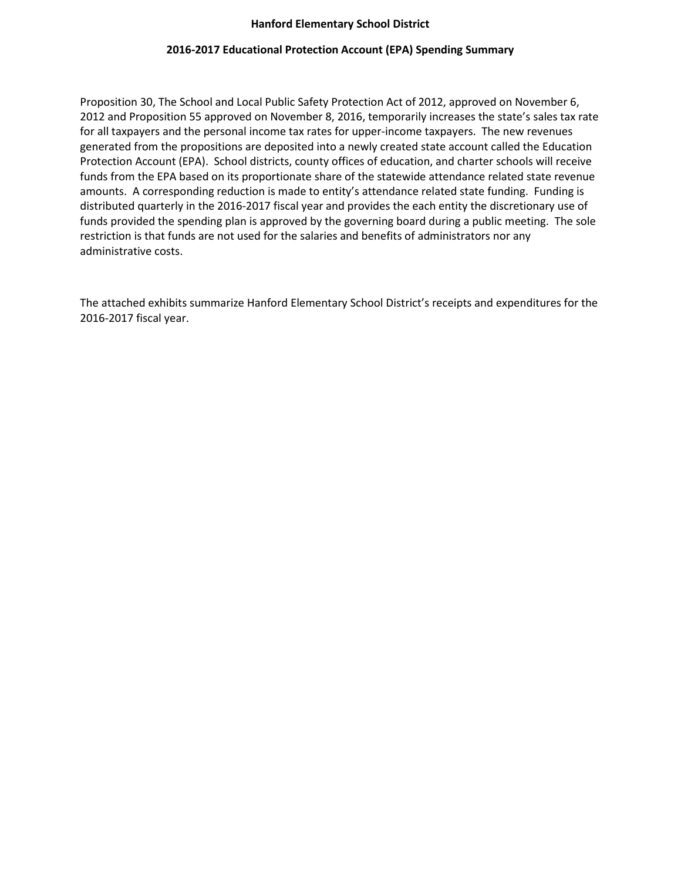#### **Hanford Elementary School District**

## **2016-2017 Educational Protection Account (EPA) Spending Summary**

Proposition 30, The School and Local Public Safety Protection Act of 2012, approved on November 6, 2012 and Proposition 55 approved on November 8, 2016, temporarily increases the state's sales tax rate for all taxpayers and the personal income tax rates for upper-income taxpayers. The new revenues generated from the propositions are deposited into a newly created state account called the Education Protection Account (EPA). School districts, county offices of education, and charter schools will receive funds from the EPA based on its proportionate share of the statewide attendance related state revenue amounts. A corresponding reduction is made to entity's attendance related state funding. Funding is distributed quarterly in the 2016-2017 fiscal year and provides the each entity the discretionary use of funds provided the spending plan is approved by the governing board during a public meeting. The sole restriction is that funds are not used for the salaries and benefits of administrators nor any administrative costs.

The attached exhibits summarize Hanford Elementary School District's receipts and expenditures for the 2016-2017 fiscal year.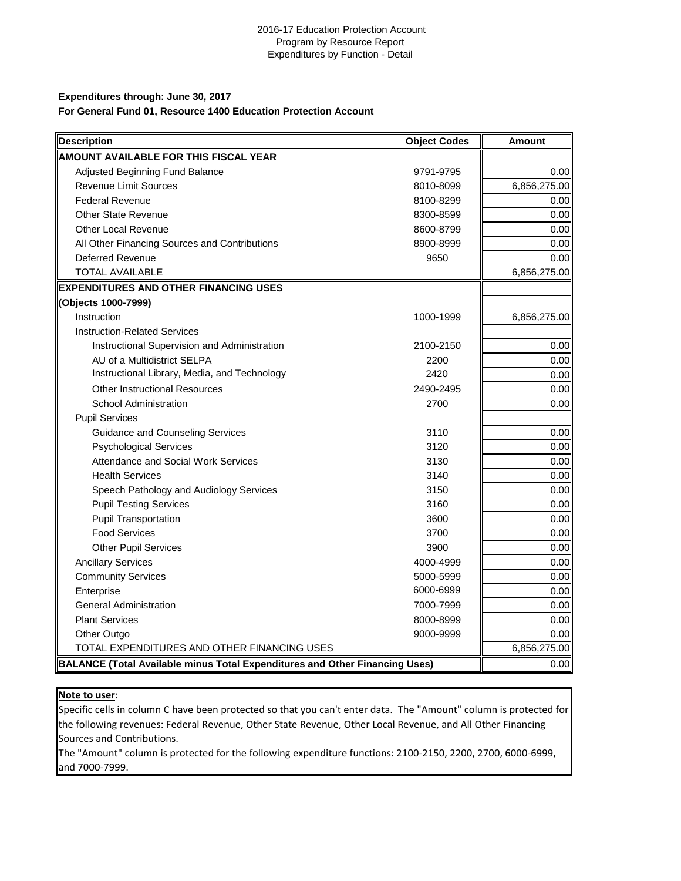#### 2016-17 Education Protection Account Program by Resource Report Expenditures by Function - Detail

#### **Expenditures through: June 30, 2017 For General Fund 01, Resource 1400 Education Protection Account**

| Description                                                                        | <b>Object Codes</b> | <b>Amount</b> |
|------------------------------------------------------------------------------------|---------------------|---------------|
| <b>AMOUNT AVAILABLE FOR THIS FISCAL YEAR</b>                                       |                     |               |
| Adjusted Beginning Fund Balance                                                    | 9791-9795           | 0.00          |
| <b>Revenue Limit Sources</b>                                                       | 8010-8099           | 6,856,275.00  |
| <b>Federal Revenue</b>                                                             | 8100-8299           | 0.00          |
| <b>Other State Revenue</b>                                                         | 8300-8599           | 0.00          |
| <b>Other Local Revenue</b>                                                         | 8600-8799           | 0.00          |
| All Other Financing Sources and Contributions                                      | 8900-8999           | 0.00          |
| Deferred Revenue                                                                   | 9650                | 0.00          |
| <b>TOTAL AVAILABLE</b>                                                             |                     | 6,856,275.00  |
| <b>IEXPENDITURES AND OTHER FINANCING USES</b>                                      |                     |               |
| (Objects 1000-7999)                                                                |                     |               |
| Instruction                                                                        | 1000-1999           | 6,856,275.00  |
| <b>Instruction-Related Services</b>                                                |                     |               |
| Instructional Supervision and Administration                                       | 2100-2150           | 0.00          |
| AU of a Multidistrict SELPA                                                        | 2200                | 0.00          |
| Instructional Library, Media, and Technology                                       | 2420                | 0.00          |
| <b>Other Instructional Resources</b>                                               | 2490-2495           | 0.00          |
| <b>School Administration</b>                                                       | 2700                | 0.00          |
| <b>Pupil Services</b>                                                              |                     |               |
| <b>Guidance and Counseling Services</b>                                            | 3110                | 0.00          |
| <b>Psychological Services</b>                                                      | 3120                | 0.00          |
| Attendance and Social Work Services                                                | 3130                | 0.00          |
| <b>Health Services</b>                                                             | 3140                | 0.00          |
| Speech Pathology and Audiology Services                                            | 3150                | 0.00          |
| <b>Pupil Testing Services</b>                                                      | 3160                | 0.00          |
| <b>Pupil Transportation</b>                                                        | 3600                | 0.00          |
| <b>Food Services</b>                                                               | 3700                | 0.00          |
| <b>Other Pupil Services</b>                                                        | 3900                | 0.00          |
| <b>Ancillary Services</b>                                                          | 4000-4999           | 0.00          |
| <b>Community Services</b>                                                          | 5000-5999           | 0.00          |
| Enterprise                                                                         | 6000-6999           | 0.00          |
| <b>General Administration</b>                                                      | 7000-7999           | 0.00          |
| <b>Plant Services</b>                                                              | 8000-8999           | 0.00          |
| Other Outgo                                                                        | 9000-9999           | 0.00          |
| TOTAL EXPENDITURES AND OTHER FINANCING USES                                        |                     | 6,856,275.00  |
| <b>BALANCE (Total Available minus Total Expenditures and Other Financing Uses)</b> |                     | 0.00          |

### **Note to user**:

Specific cells in column C have been protected so that you can't enter data. The "Amount" column is protected for the following revenues: Federal Revenue, Other State Revenue, Other Local Revenue, and All Other Financing Sources and Contributions.

The "Amount" column is protected for the following expenditure functions: 2100-2150, 2200, 2700, 6000-6999, and 7000-7999.